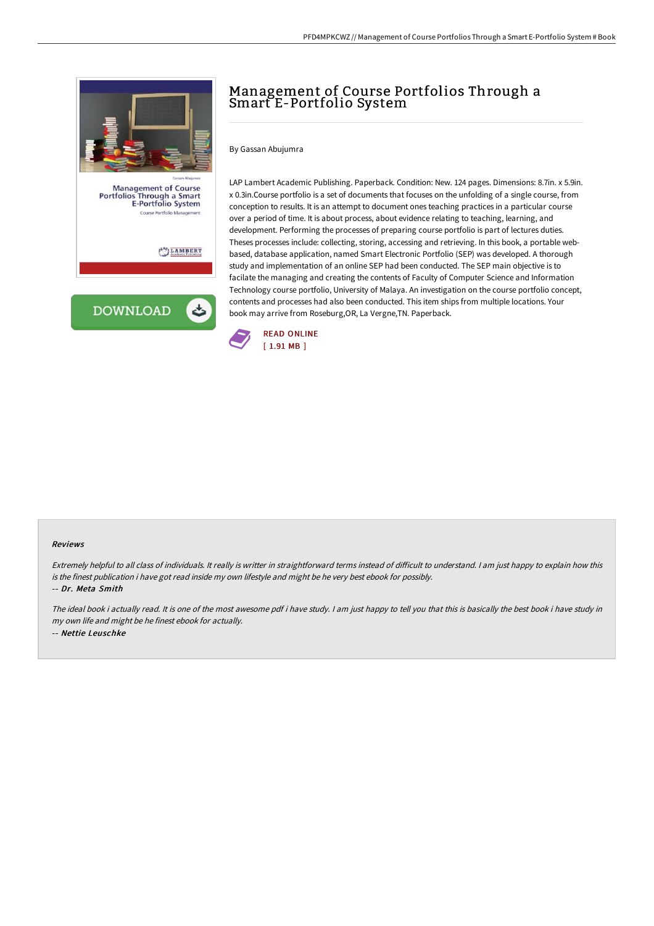

# Management of Course Portfolios Through a Smart E-Portfolio System

By Gassan Abujumra

LAP Lambert Academic Publishing. Paperback. Condition: New. 124 pages. Dimensions: 8.7in. x 5.9in. x 0.3in.Course portfolio is a set of documents that focuses on the unfolding of a single course, from conception to results. It is an attempt to document ones teaching practices in a particular course over a period of time. It is about process, about evidence relating to teaching, learning, and development. Performing the processes of preparing course portfolio is part of lectures duties. Theses processes include: collecting, storing, accessing and retrieving. In this book, a portable webbased, database application, named Smart Electronic Portfolio (SEP) was developed. A thorough study and implementation of an online SEP had been conducted. The SEP main objective is to facilate the managing and creating the contents of Faculty of Computer Science and Information Technology course portfolio, University of Malaya. An investigation on the course portfolio concept, contents and processes had also been conducted. This item ships from multiple locations. Your book may arrive from Roseburg,OR, La Vergne,TN. Paperback.



#### Reviews

Extremely helpful to all class of individuals. It really is writter in straightforward terms instead of difficult to understand. I am just happy to explain how this is the finest publication i have got read inside my own lifestyle and might be he very best ebook for possibly. -- Dr. Meta Smith

The ideal book i actually read. It is one of the most awesome pdf i have study. I am just happy to tell you that this is basically the best book i have study in my own life and might be he finest ebook for actually. -- Nettie Leuschke